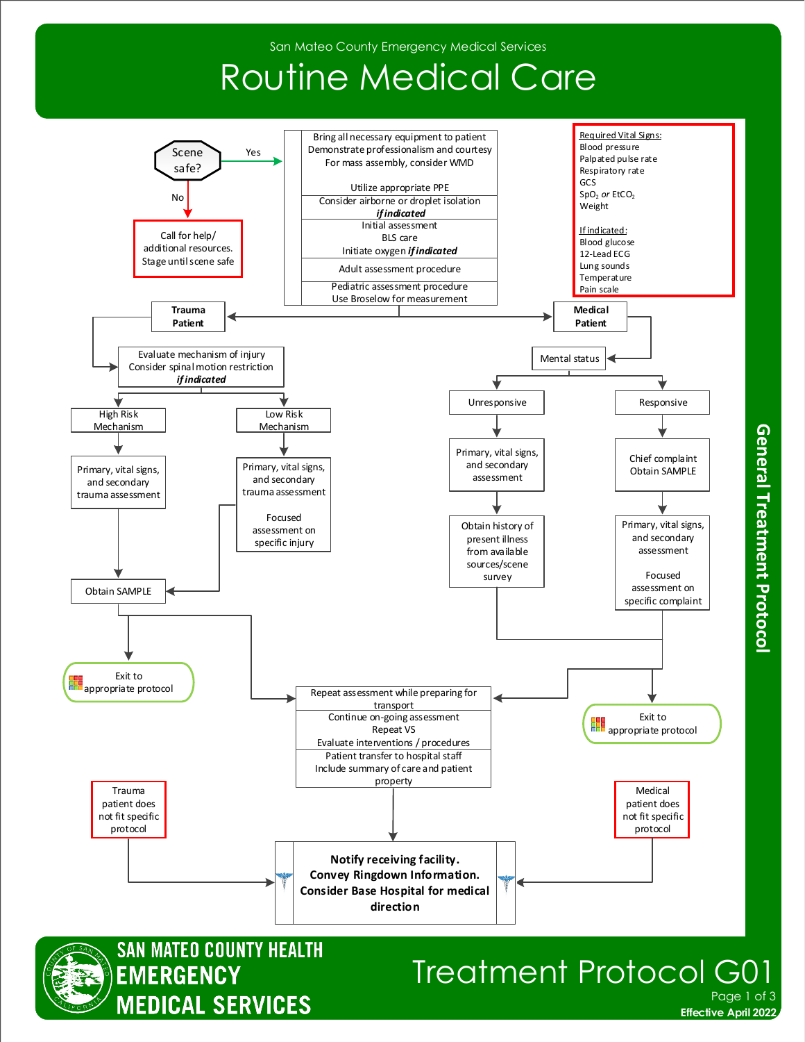## Routine Medical Care





### Treatment Protocol G Page 1 of 3

**Effective April 2022** 

General Treatment Protocol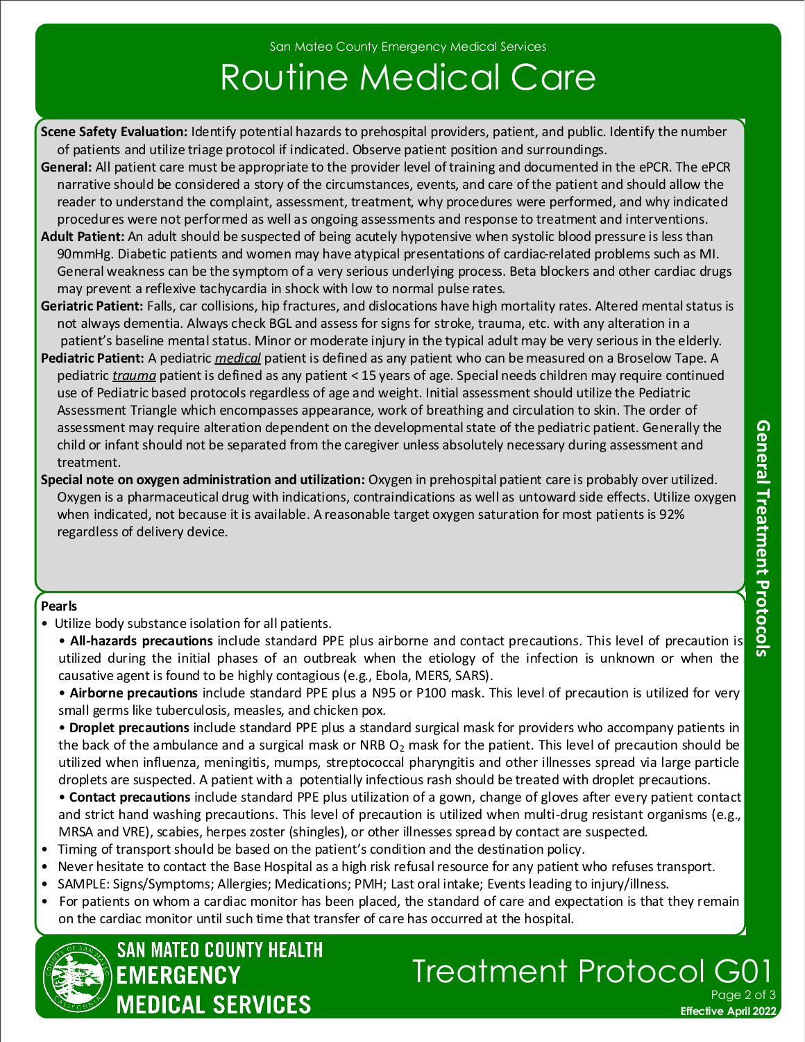# Routine Medical Care

- **Scene Safety Evaluation:** Identify potential hazards to prehospital providers, patient, and public. Identify the number of patients and utilize triage protocol if indicated. Observe patient position and surroundings.
- **General:** All patient care must be appropriate to the provider level of training and documented in the ePCR. The ePCR narrative should be considered a story of the circumstances, events, and care of the patient and should allow the reader to understand the complaint, assessment, treatment, why procedures were performed, and why indicated procedures were not performed as well as ongoing assessments and response to treatment and interventions.
- **Adult Patient:** An adult should be suspected of being acutely hypotensive when systolic blood pressure is less than 90mmHg. Diabetic patients and women may have atypical presentations of cardiac-related problems such as MI. General weakness can be the symptom of a very serious underlying process. Beta blockers and other cardiac drugs may prevent a reflexive tachycardia in shock with low to normal pulse rates.
- **Geriatric Patient:** Falls, car collisions, hip fractures, and dislocations have high mortality rates. Altered mental status is not always dementia. Always check BGL and assess for signs for stroke, trauma, etc. with any alteration in a patient's baseline mental status. Minor or moderate injury in the typical adult may be very serious in the elderly.
- **Pediatric Patient:** A pediatric *medical* patient is defined as any patient who can be measured on a Broselow Tape. A pediatric *trauma* patient is defined as any patient < 15 years of age. Special needs children may require continued use of Pediatric based protocols regardless of age and weight. Initial assessment should utilize the Pediatric Assessment Triangle which encompasses appearance, work of breathing and circulation to skin. The order of assessment may require alteration dependent on the developmental state of the pediatric patient. Generally the child or infant should not be separated from the caregiver unless absolutely necessary during assessment and treatment.
- **Special note on oxygen administration and utilization:** Oxygen in prehospital patient care is probably over utilized. Oxygen is a pharmaceutical drug with indications, contraindications as well as untoward side effects. Utilize oxygen when indicated, not because it is available. A reasonable target oxygen saturation for most patients is 92% regardless of delivery device.

#### **Pearls**

- Utilize body substance isolation for all patients.
	- **All-hazards precautions** include standard PPE plus airborne and contact precautions. This level of precaution is utilized during the initial phases of an outbreak when the etiology of the infection is unknown or when the causative agent is found to be highly contagious (e.g., Ebola, MERS, SARS).
	- **Airborne precautions** include standard PPE plus a N95 or P100 mask. This level of precaution is utilized for very small germs like tuberculosis, measles, and chicken pox.
	- **Droplet precautions** include standard PPE plus a standard surgical mask for providers who accompany patients in the back of the ambulance and a surgical mask or NRB  $O_2$  mask for the patient. This level of precaution should be utilized when influenza, meningitis, mumps, streptococcal pharyngitis and other illnesses spread via large particle droplets are suspected. A patient with a potentially infectious rash should be treated with droplet precautions.
	- **Contact precautions** include standard PPE plus utilization of a gown, change of gloves after every patient contact and strict hand washing precautions. This level of precaution is utilized when multi-drug resistant organisms (e.g., MRSA and VRE), scabies, herpes zoster (shingles), or other illnesses spread by contact are suspected.
- Timing of transport should be based on the patient's condition and the destination policy.
- Never hesitate to contact the Base Hospital as a high risk refusal resource for any patient who refuses transport.
- SAMPLE: Signs/Symptoms; Allergies; Medications; PMH; Last oral intake; Events leading to injury/illness.
- For patients on whom a cardiac monitor has been placed, the standard of care and expectation is that they remain on the cardiac monitor until such time that transfer of care has occurred at the hospital.



### Treatment Protocol Page 2 of 3

**Effective April 2022**